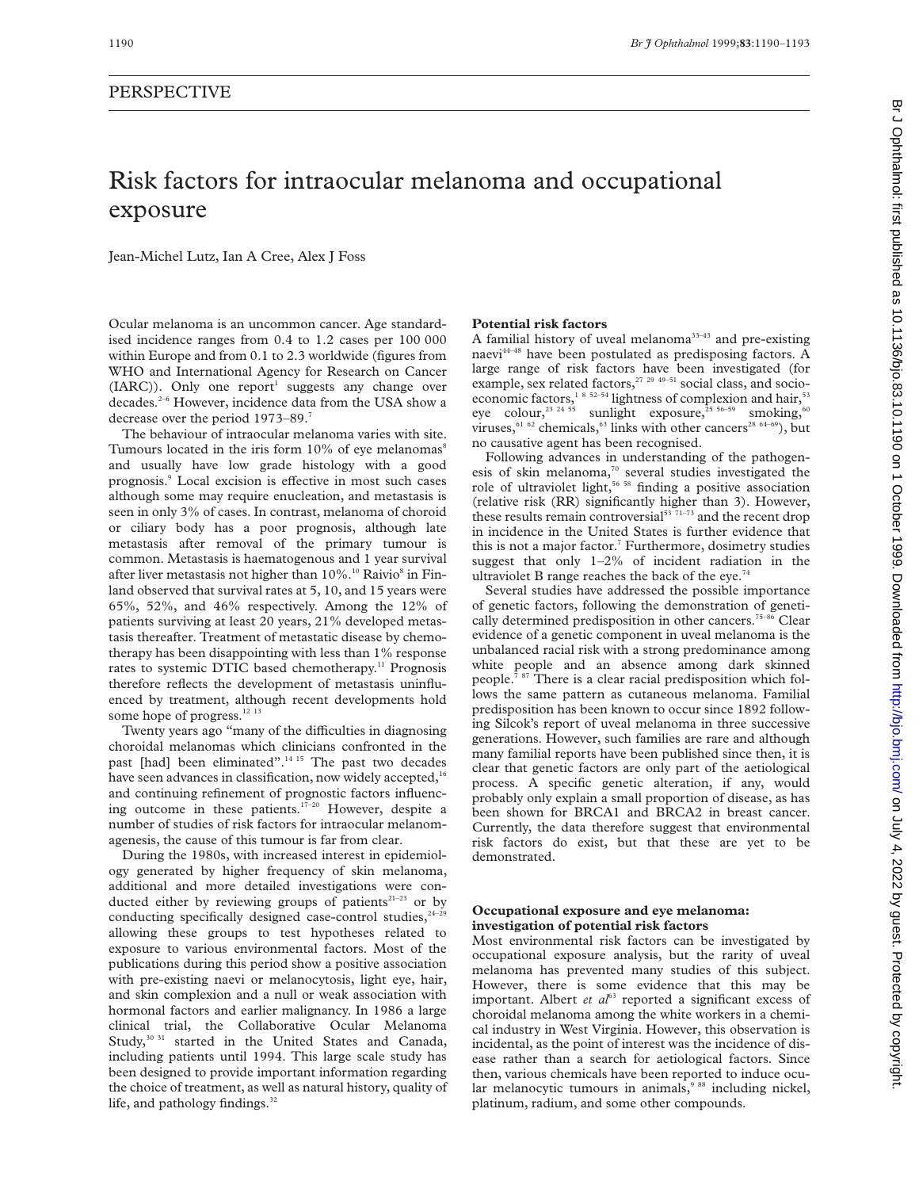exposure

# Risk factors for intraocular melanoma and occupational

Ocular melanoma is an uncommon cancer. Age standardised incidence ranges from 0.4 to 1.2 cases per 100 000 within Europe and from 0.1 to 2.3 worldwide (figures from WHO and International Agency for Research on Cancer  $(IARC)$ ). Only one report<sup>1</sup> suggests any change over decades.<sup>2-6</sup> However, incidence data from the USA show a decrease over the period 1973–89.7

Jean-Michel Lutz, Ian A Cree, Alex J Foss

The behaviour of intraocular melanoma varies with site. Tumours located in the iris form  $10\%$  of eye melanomas $\mathrm{^8}$ and usually have low grade histology with a good prognosis.<sup>9</sup> Local excision is effective in most such cases although some may require enucleation, and metastasis is seen in only 3% of cases. In contrast, melanoma of choroid or ciliary body has a poor prognosis, although late metastasis after removal of the primary tumour is common. Metastasis is haematogenous and 1 year survival after liver metastasis not higher than  $10\%$ .<sup>10</sup> Raivio<sup>8</sup> in Finland observed that survival rates at 5, 10, and 15 years were 65%, 52%, and 46% respectively. Among the 12% of patients surviving at least 20 years, 21% developed metastasis thereafter. Treatment of metastatic disease by chemotherapy has been disappointing with less than 1% response rates to systemic DTIC based chemotherapy.<sup>11</sup> Prognosis therefore reflects the development of metastasis uninfluenced by treatment, although recent developments hold some hope of progress.<sup>12 13</sup>

Twenty years ago "many of the difficulties in diagnosing choroidal melanomas which clinicians confronted in the past [had] been eliminated".<sup>14 15</sup> The past two decades have seen advances in classification, now widely accepted,<sup>16</sup> and continuing refinement of prognostic factors influencing outcome in these patients.17–20 However, despite a number of studies of risk factors for intraocular melanomagenesis, the cause of this tumour is far from clear.

During the 1980s, with increased interest in epidemiology generated by higher frequency of skin melanoma, additional and more detailed investigations were conducted either by reviewing groups of patients $21-23$  or by conducting specifically designed case-control studies, $24-29$ allowing these groups to test hypotheses related to exposure to various environmental factors. Most of the publications during this period show a positive association with pre-existing naevi or melanocytosis, light eye, hair, and skin complexion and a null or weak association with hormonal factors and earlier malignancy. In 1986 a large clinical trial, the Collaborative Ocular Melanoma Study,<sup>30 31</sup> started in the United States and Canada, including patients until 1994. This large scale study has been designed to provide important information regarding the choice of treatment, as well as natural history, quality of life, and pathology findings.<sup>32</sup>

# **Potential risk factors**

A familial history of uveal melanoma<sup>33-43</sup> and pre-existing naevi $^{44-48}$  have been postulated as predisposing factors. A large range of risk factors have been investigated (for example, sex related factors,<sup>27 29 49-51</sup> social class, and socioeconomic factors,<sup>1852-54</sup> lightness of complexion and hair,<sup>53</sup> eye colour,<sup>23 24 55</sup> sunlight exposure,<sup>25 56–59</sup> smoking,<sup>60</sup> viruses, $6162$  chemicals, $63$  links with other cancers<sup>28 64-69</sup>), but no causative agent has been recognised.

Following advances in understanding of the pathogenesis of skin melanoma, $70$  several studies investigated the role of ultraviolet light, $5658$  finding a positive association (relative risk (RR) significantly higher than 3). However, these results remain controversial $53$ <sup>71-73</sup> and the recent drop in incidence in the United States is further evidence that this is not a major factor.<sup>7</sup> Furthermore, dosimetry studies suggest that only 1–2% of incident radiation in the ultraviolet B range reaches the back of the eye.<sup>74</sup>

Several studies have addressed the possible importance of genetic factors, following the demonstration of genetically determined predisposition in other cancers.<sup>75–86</sup> Clear evidence of a genetic component in uveal melanoma is the unbalanced racial risk with a strong predominance among white people and an absence among dark skinned people.<sup>7 87</sup> There is a clear racial predisposition which follows the same pattern as cutaneous melanoma. Familial predisposition has been known to occur since 1892 following Silcok's report of uveal melanoma in three successive generations. However, such families are rare and although many familial reports have been published since then, it is clear that genetic factors are only part of the aetiological process. A specific genetic alteration, if any, would probably only explain a small proportion of disease, as has been shown for BRCA1 and BRCA2 in breast cancer. Currently, the data therefore suggest that environmental risk factors do exist, but that these are yet to be demonstrated.

## **Occupational exposure and eye melanoma: investigation of potential risk factors**

Most environmental risk factors can be investigated by occupational exposure analysis, but the rarity of uveal melanoma has prevented many studies of this subject. However, there is some evidence that this may be important. Albert *et al*<sup>63</sup> reported a significant excess of choroidal melanoma among the white workers in a chemical industry in West Virginia. However, this observation is incidental, as the point of interest was the incidence of disease rather than a search for aetiological factors. Since then, various chemicals have been reported to induce ocular melanocytic tumours in animals, $9^{88}$  including nickel, platinum, radium, and some other compounds.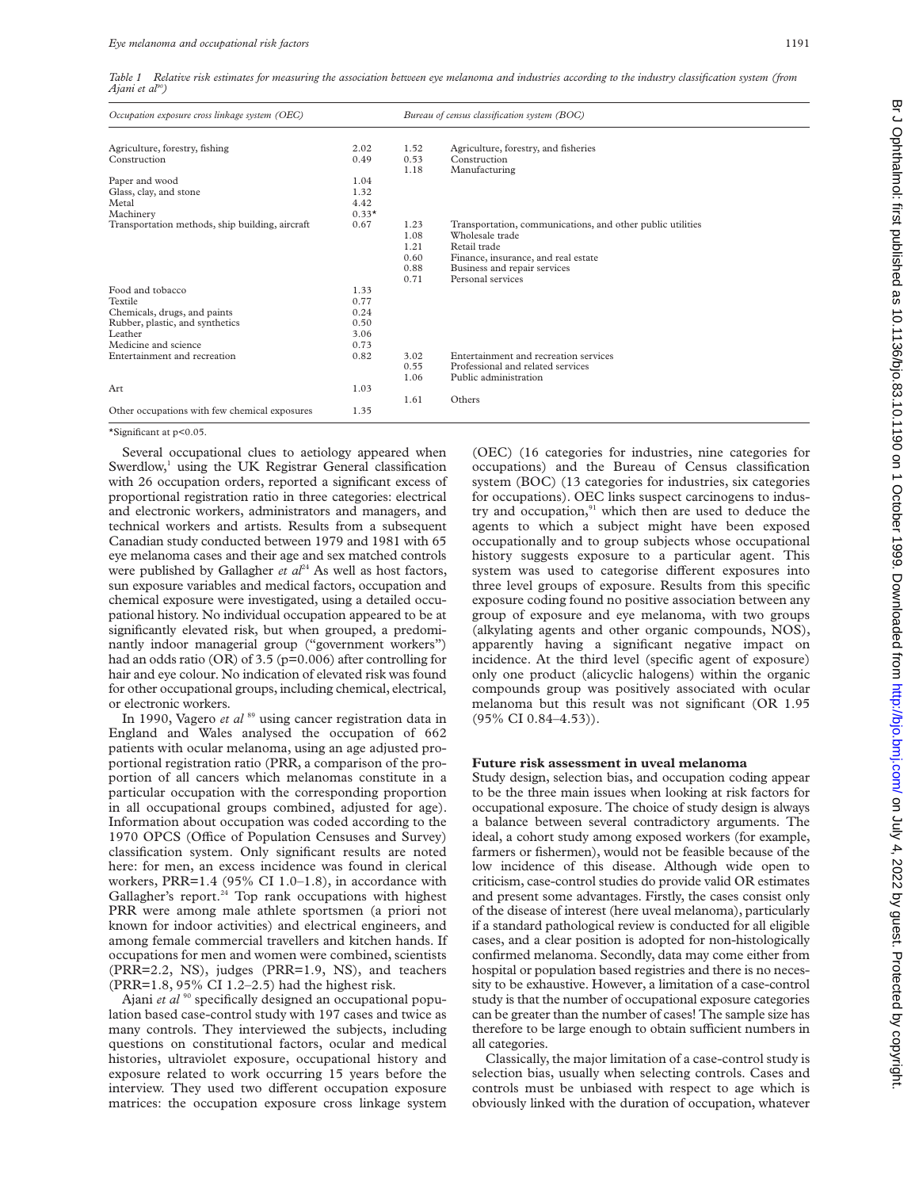*Table 1 Relative risk estimates for measuring the association between eye melanoma and industries according to the industry classification system (from Aiani et al*<sup>90</sup>)

| Occupation exposure cross linkage system (OEC)  |         | Bureau of census classification system (BOC) |                                                            |
|-------------------------------------------------|---------|----------------------------------------------|------------------------------------------------------------|
| Agriculture, forestry, fishing                  | 2.02    | 1.52                                         | Agriculture, forestry, and fisheries                       |
| Construction                                    | 0.49    | 0.53<br>1.18                                 | Construction<br>Manufacturing                              |
| Paper and wood                                  | 1.04    |                                              |                                                            |
| Glass, clay, and stone                          | 1.32    |                                              |                                                            |
| Metal                                           | 4.42    |                                              |                                                            |
| Machinery                                       | $0.33*$ |                                              |                                                            |
| Transportation methods, ship building, aircraft | 0.67    | 1.23                                         | Transportation, communications, and other public utilities |
|                                                 |         | 1.08                                         | Wholesale trade                                            |
|                                                 |         | 1.21                                         | Retail trade                                               |
|                                                 |         | 0.60                                         | Finance, insurance, and real estate                        |
|                                                 |         | 0.88                                         | Business and repair services                               |
|                                                 |         | 0.71                                         | Personal services                                          |
| Food and tobacco                                | 1.33    |                                              |                                                            |
| Textile                                         | 0.77    |                                              |                                                            |
| Chemicals, drugs, and paints                    | 0.24    |                                              |                                                            |
| Rubber, plastic, and synthetics                 | 0.50    |                                              |                                                            |
| Leather                                         | 3.06    |                                              |                                                            |
| Medicine and science                            | 0.73    |                                              |                                                            |
| Entertainment and recreation                    | 0.82    | 3.02                                         | Entertainment and recreation services                      |
|                                                 |         | 0.55                                         | Professional and related services                          |
|                                                 |         | 1.06                                         | Public administration                                      |
| Art                                             | 1.03    |                                              |                                                            |
|                                                 |         | 1.61                                         | Others                                                     |
| Other occupations with few chemical exposures   | 1.35    |                                              |                                                            |

\*Significant at p<0.05.

Several occupational clues to aetiology appeared when Swerdlow, $\frac{1}{1}$  using the UK Registrar General classification with 26 occupation orders, reported a significant excess of proportional registration ratio in three categories: electrical and electronic workers, administrators and managers, and technical workers and artists. Results from a subsequent Canadian study conducted between 1979 and 1981 with 65 eye melanoma cases and their age and sex matched controls were published by Gallagher *et al*<sup>24</sup> As well as host factors, sun exposure variables and medical factors, occupation and chemical exposure were investigated, using a detailed occupational history. No individual occupation appeared to be at significantly elevated risk, but when grouped, a predominantly indoor managerial group ("government workers") had an odds ratio (OR) of 3.5 (p=0.006) after controlling for hair and eye colour. No indication of elevated risk was found for other occupational groups, including chemical, electrical, or electronic workers.

In 1990, Vagero *et al* <sup>89</sup> using cancer registration data in England and Wales analysed the occupation of 662 patients with ocular melanoma, using an age adjusted proportional registration ratio (PRR, a comparison of the proportion of all cancers which melanomas constitute in a particular occupation with the corresponding proportion in all occupational groups combined, adjusted for age). Information about occupation was coded according to the 1970 OPCS (Office of Population Censuses and Survey) classification system. Only significant results are noted here: for men, an excess incidence was found in clerical workers, PRR=1.4 (95% CI 1.0–1.8), in accordance with Gallagher's report.<sup>24</sup> Top rank occupations with highest PRR were among male athlete sportsmen (a priori not known for indoor activities) and electrical engineers, and among female commercial travellers and kitchen hands. If occupations for men and women were combined, scientists (PRR=2.2, NS), judges (PRR=1.9, NS), and teachers (PRR=1.8, 95% CI 1.2–2.5) had the highest risk.

Ajani *et al* <sup>90</sup> specifically designed an occupational population based case-control study with 197 cases and twice as many controls. They interviewed the subjects, including questions on constitutional factors, ocular and medical histories, ultraviolet exposure, occupational history and exposure related to work occurring 15 years before the interview. They used two different occupation exposure matrices: the occupation exposure cross linkage system (OEC) (16 categories for industries, nine categories for occupations) and the Bureau of Census classification system (BOC) (13 categories for industries, six categories for occupations). OEC links suspect carcinogens to industry and occupation,<sup>91</sup> which then are used to deduce the agents to which a subject might have been exposed occupationally and to group subjects whose occupational history suggests exposure to a particular agent. This system was used to categorise different exposures into three level groups of exposure. Results from this specific exposure coding found no positive association between any group of exposure and eye melanoma, with two groups (alkylating agents and other organic compounds, NOS), apparently having a significant negative impact on incidence. At the third level (specific agent of exposure) only one product (alicyclic halogens) within the organic compounds group was positively associated with ocular melanoma but this result was not significant (OR 1.95 (95% CI 0.84–4.53)).

### **Future risk assessment in uveal melanoma**

Study design, selection bias, and occupation coding appear to be the three main issues when looking at risk factors for occupational exposure. The choice of study design is always a balance between several contradictory arguments. The ideal, a cohort study among exposed workers (for example, farmers or fishermen), would not be feasible because of the low incidence of this disease. Although wide open to criticism, case-control studies do provide valid OR estimates and present some advantages. Firstly, the cases consist only of the disease of interest (here uveal melanoma), particularly if a standard pathological review is conducted for all eligible cases, and a clear position is adopted for non-histologically confirmed melanoma. Secondly, data may come either from hospital or population based registries and there is no necessity to be exhaustive. However, a limitation of a case-control study is that the number of occupational exposure categories can be greater than the number of cases! The sample size has therefore to be large enough to obtain sufficient numbers in all categories.

Classically, the major limitation of a case-control study is selection bias, usually when selecting controls. Cases and controls must be unbiased with respect to age which is obviously linked with the duration of occupation, whatever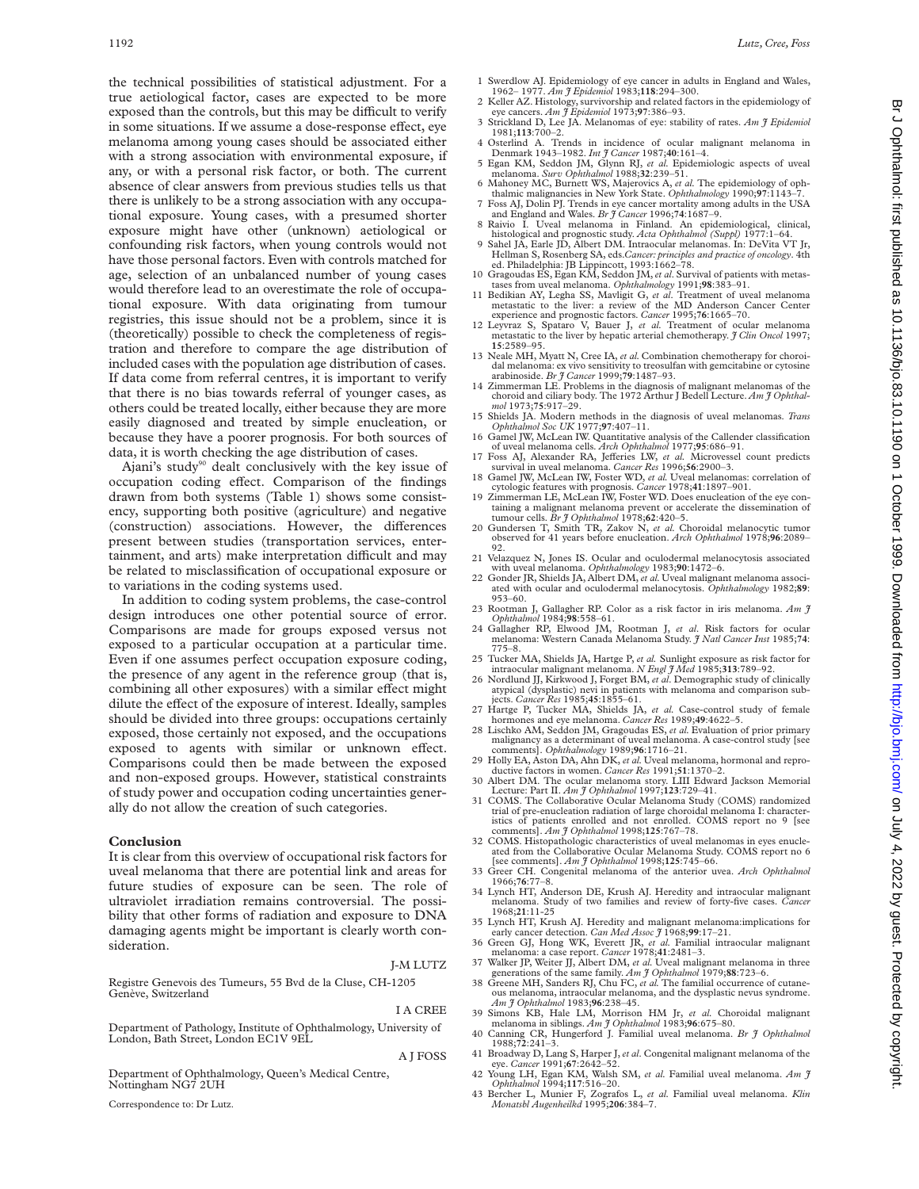the technical possibilities of statistical adjustment. For a true aetiological factor, cases are expected to be more exposed than the controls, but this may be difficult to verify in some situations. If we assume a dose-response effect, eye melanoma among young cases should be associated either with a strong association with environmental exposure, if any, or with a personal risk factor, or both. The current absence of clear answers from previous studies tells us that there is unlikely to be a strong association with any occupational exposure. Young cases, with a presumed shorter exposure might have other (unknown) aetiological or confounding risk factors, when young controls would not have those personal factors. Even with controls matched for age, selection of an unbalanced number of young cases would therefore lead to an overestimate the role of occupational exposure. With data originating from tumour registries, this issue should not be a problem, since it is (theoretically) possible to check the completeness of registration and therefore to compare the age distribution of included cases with the population age distribution of cases. If data come from referral centres, it is important to verify that there is no bias towards referral of younger cases, as others could be treated locally, either because they are more

easily diagnosed and treated by simple enucleation, or because they have a poorer prognosis. For both sources of data, it is worth checking the age distribution of cases. Ajani's study<sup>90</sup> dealt conclusively with the key issue of

occupation coding effect. Comparison of the findings drawn from both systems (Table 1) shows some consistency, supporting both positive (agriculture) and negative (construction) associations. However, the differences present between studies (transportation services, entertainment, and arts) make interpretation difficult and may be related to misclassification of occupational exposure or to variations in the coding systems used.

In addition to coding system problems, the case-control design introduces one other potential source of error. Comparisons are made for groups exposed versus not exposed to a particular occupation at a particular time. Even if one assumes perfect occupation exposure coding, the presence of any agent in the reference group (that is, combining all other exposures) with a similar effect might dilute the effect of the exposure of interest. Ideally, samples should be divided into three groups: occupations certainly exposed, those certainly not exposed, and the occupations exposed to agents with similar or unknown effect. Comparisons could then be made between the exposed and non-exposed groups. However, statistical constraints of study power and occupation coding uncertainties generally do not allow the creation of such categories.

### **Conclusion**

It is clear from this overview of occupational risk factors for uveal melanoma that there are potential link and areas for future studies of exposure can be seen. The role of ultraviolet irradiation remains controversial. The possibility that other forms of radiation and exposure to DNA damaging agents might be important is clearly worth consideration.

# J-M LUTZ

Registre Genevois des Tumeurs, 55 Bvd de la Cluse, CH-1205 Genève, Switzerland

# I A CREE

A J FOSS

Department of Pathology, Institute of Ophthalmology, University of London, Bath Street, London EC1V 9EL

Department of Ophthalmology, Queen's Medical Centre, Nottingham NG7 2UH

Correspondence to: Dr Lutz.

- 1 Swerdlow AJ. Epidemiology of eye cancer in adults in England and Wales, 1962– 1977. *Am J Epidemiol* 1983;**118**:294–300.
- 2 Keller AZ. Histology, survivorship and related factors in the epidemiology of eye cancers. *Am J Epidemiol* 1973;**97**:386–93.
- 3 Strickland D, Lee JA. Melanomas of eye: stability of rates. *Am J Epidemiol* 1981;**113**:700–2. Trends in incidence of ocular malignant melanoma in
- Denmark 1943–1982. *Int J Cancer* 1987;**40**:161–4. 5 Egan KM, Seddon JM, Glynn RJ, *et al.* Epidemiologic aspects of uveal
- melanoma. *Surv Ophthalmol* 1988;**32**:239–51. 6 Mahoney MC, Burnett WS, Majerovics A, *et al.* The epidemiology of oph-
- thalmic malignancies in New York State. *Ophthalmology* 1990;**97**:1143–7. 7 Foss AJ, Dolin PJ. Trends in eye cancer mortality among adults in the USA and England and Wales. *Br J Cancer* 1996;**74**:1687–9.
- 8 Raivio I. Uveal melanoma in Finland. An epidemiological, clinical, histological and prognostic study. *Acta Ophthalmol (Suppl)* 1977:1–64.
- 9 Sahel JA, Earle JD, Albert DM. Intraocular melanomas. In: DeVita VT Jr, Hellman S, Rosenberg SA, eds.*Cancer: principles and practice of oncology*. 4th ed. Philadelphia: JB Lippincott, 1993:1662–78. 10 Gragoudas ES, Egan KM, Seddon JM,*et al*. Survival of patients with metas-
- 
- tases from uveal melanoma. *Ophthalmology* 1991;**98**:383–91. 11 Bedikian AY, Legha SS, Mavligit G, *et al*. Treatment of uveal melanoma metastatic to the liver: a review of the MD Anderson Cancer Center experience and prognostic factors. *Cancer* 1995;**76**:1665–70. 12 Leyvraz S, Spataro V, Bauer J, *et al.* Treatment of ocular melanoma
- metastatic to the liver by hepatic arterial chemotherapy. *J Clin Oncol* 1997; **15**:2589–95.
- 13 Neale MH, Myatt N, Cree IA, *et al.* Combination chemotherapy for choroidal melanoma: ex vivo sensitivity to treosulfan with gemcitabine or cytosine arabinoside. *Br J Cancer* 1999;**79**:1487–93.
- 14 Zimmerman LE. Problems in the diagnosis of malignant melanomas of the choroid and ciliary body. The 1972 Arthur J Bedell Lecture. *Am J Ophthalmol* 1973;**75**:917–29.
- 15 Shields JA. Modern methods in the diagnosis of uveal melanomas. *Trans Ophthalmol Soc UK* 1977;**97**:407–11. 16 Gamel JW, McLean IW. Quantitative analysis of the Callender classification
- of uveal melanoma cells. *Arch Ophthalmol* 1977;**95**:686–91.
- 17 Foss AJ, Alexander RA, Jefferies LW, *et al.* Microvessel count predicts survival in uveal melanoma. *Cancer Res* 1996;56:2900-3.
- 18 Gamel JW, McLean IW, Foster WD, *et al.* Uveal melanomas: correlation of cytologic features with prognosis. *Cancer* 1978;**41**:1897–901. 19 Zimmerman LE, McLean IW, Foster WD. Does enucleation of the eye con-
- taining a malignant melanoma prevent or accelerate the dissemination of<br>tumour cells. *Br J Ophthalmol* 1978;62:420–5.<br>20 Gundersen T, Smith TR, Zakov N, *et al*. Choroidal melanocytic tumor
- observed for 41 years before enucleation. *Arch Ophthalmol* 1978;**96**:2089– 92.
- 21 Velazquez N, Jones IS. Ocular and oculodermal melanocytosis associated with uveal melanoma. *Ophthalmology* 1983;**90**:1472–6.
- 22 Gonder JR, Shields JA, Albert DM,*et al.* Uveal malignant melanoma associated with ocular and oculodermal melanocytosis. *Ophthalmology* 1982;**89**: 953–60.
- 23 Rootman J, Gallagher RP. Color as a risk factor in iris melanoma. *Am J Ophthalmol* 1984;**98**:558–61.
- 24 Gallagher RP, Elwood JM, Rootman J, *et al*. Risk factors for ocular melanoma: Western Canada Melanoma Study. *J Natl Cancer Inst* 1985;**74**: 775–8.
- 25 Tucker MA, Shields JA, Hartge P, *et al.* Sunlight exposure as risk factor for
- intraocular malignant melanoma. *N Engl J Med* 1985;313:789–92.<br>26 Nordlund JJ, Kirkwood J, Forget BM, *et al.* Demographic study of clinically<br>atypical (dysplastic) nevi in patients with melanoma and comparison subjects. *Cancer Res* 1985;**45**:1855–61.
- 27 Hartge P, Tucker MA, Shields JA, *et al.* Case-control study of female hormones and eye melanoma. *Cancer Res* 1989;**49**:4622–5. 28 Lischko AM, Seddon JM, Gragoudas ES, *et al.* Evaluation of prior primary
- malignancy as a determinant of uveal melanoma. A case-control study [see comments]. *Ophthalmology* 1989;**96**:1716–21.
- 29 Holly EA, Aston DA, Ahn DK, *et al.* Uveal melanoma, hormonal and reproductive factors in women. *Cancer Res* 1991;**51**:1370–2.
- 30 Albert DM. The ocular melanoma story. LIII Edward Jackson Memorial Lecture: Part II. *Am J Ophthalmol* 1997;123:729-41.<br>31 COMS. The Collaborative Ocular Melanoma Study (COMS) randomized
- trial of pre-enucleation radiation of large choroidal melanoma I: character-istics of patients enrolled and not enrolled. COMS report no 9 [see comments]. *Am J Ophthalmol* 1998;**125**:767–78.
- 32 COMS. Histopathologic characteristics of uveal melanomas in eyes enucleated from the Collaborative Ocular Melanoma Study. COMS report no 6 [see comments]. *Am J Ophthalmol* 1998;**125**:745–66. 33 Greer CH. Congenital melanoma of the anterior uvea. *Arch Ophthalmol*
- 1966;**76**:77–8.
- 34 Lynch HT, Anderson DE, Krush AJ. Heredity and intraocular malignant melanoma. Study of two families and review of forty-five cases. *Cancer* 1968;**21**:11-25
- 35 Lynch HT, Krush AJ. Heredity and malignant melanoma:implications for early cancer detection. *Can Med Assoc J* 1968;**99**:17–21. 36 Green GJ, Hong WK, Everett JR, *et al.* Familial intraocular malignant
- melanoma: a case report. *Cancer* 1978;**41**:2481–3. 37 Walker JP, Weiter JJ, Albert DM, *et al.* Uveal malignant melanoma in three
- generations of the same family. *Am J Ophthalmol* 1979;**88**:723–6. 38 Greene MH, Sanders RJ, Chu FC, *et al.* The familial occurrence of cutane-
- ous melanoma, intraocular melanoma, and the dysplastic nevus syndrome. *Am J Ophthalmol* 1983;**96**:238–45.
- 39 Simons KB, Hale LM, Morrison HM Jr, *et al.* Choroidal malignant melanoma in siblings. *Am J Ophthalmol* 1983;**96**:675–80. 40 Canning CR, Hungerford J. Familial uveal melanoma. *Br J Ophthalmol*
- 1988;**72**:241–3. 41 Broadway D, Lang S, Harper J,*et al*. Congenital malignant melanoma of the
- eye. *Cancer* 1991;**67**:2642–52. 42 Young LH, Egan KM, Walsh SM, *et al.* Familial uveal melanoma. *Am J*
- *Ophthalmol* 1994;**117**:516–20. 43 Bercher L, Munier F, Zografos L, *et al.* Familial uveal melanoma. *Klin Monatsbl Augenheilkd* 1995;**206**:384–7.